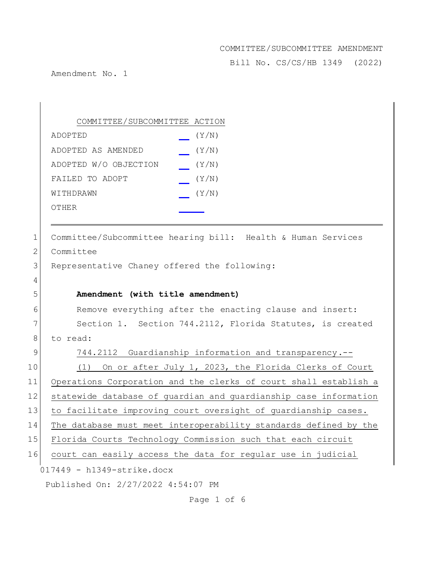Bill No. CS/CS/HB 1349 (2022)

Amendment No. 1

|    | COMMITTEE/SUBCOMMITTEE ACTION                                    |
|----|------------------------------------------------------------------|
|    | (Y/N)<br>ADOPTED                                                 |
|    | (Y/N)<br>ADOPTED AS AMENDED                                      |
|    | ADOPTED W/O OBJECTION<br>(Y/N)                                   |
|    | FAILED TO ADOPT<br>(Y/N)                                         |
|    | (Y/N)<br>WITHDRAWN                                               |
|    | OTHER                                                            |
| 1  | Committee/Subcommittee hearing bill: Health & Human Services     |
| 2  | Committee                                                        |
| 3  | Representative Chaney offered the following:                     |
| 4  |                                                                  |
| 5  | Amendment (with title amendment)                                 |
| 6  | Remove everything after the enacting clause and insert:          |
| 7  | Section 1. Section 744.2112, Florida Statutes, is created        |
| 8  | to read:                                                         |
| 9  | 744.2112 Guardianship information and transparency.--            |
| 10 | On or after July 1, 2023, the Florida Clerks of Court<br>(1)     |
| 11 | Operations Corporation and the clerks of court shall establish a |
| 12 | statewide database of guardian and guardianship case information |
| 13 | to facilitate improving court oversight of guardianship cases.   |
| 14 | The database must meet interoperability standards defined by the |
| 15 | Florida Courts Technology Commission such that each circuit      |
| 16 | court can easily access the data for regular use in judicial     |
|    | $017449 - h1349$ -strike.docx                                    |
|    | Published On: 2/27/2022 4:54:07 PM                               |

Page 1 of 6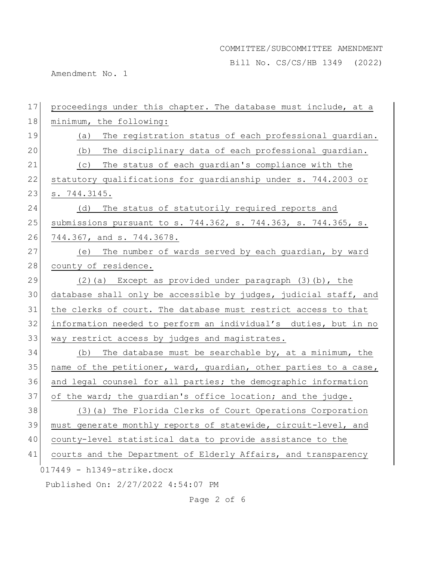Bill No. CS/CS/HB 1349 (2022)

Amendment No. 1

 $017449 - h1349 - strike.docx$ Published On: 2/27/2022 4:54:07 PM 17 proceedings under this chapter. The database must include, at a 18 minimum, the following: 19 (a) The registration status of each professional guardian. 20 (b) The disciplinary data of each professional quardian. 21 (c) The status of each guardian's compliance with the 22 statutory qualifications for quardianship under s. 744.2003 or 23 s. 744.3145. 24 (d) The status of statutorily required reports and 25 submissions pursuant to s. 744.362, s. 744.363, s. 744.365, s. 26 744.367, and s. 744.3678. 27 (e) The number of wards served by each quardian, by ward 28 county of residence. 29  $(2)(a)$  Except as provided under paragraph  $(3)(b)$ , the 30 database shall only be accessible by judges, judicial staff, and 31 the clerks of court. The database must restrict access to that 32 information needed to perform an individual's duties, but in no 33 way restrict access by judges and magistrates. 34 (b) The database must be searchable by, at a minimum, the 35 name of the petitioner, ward, guardian, other parties to a case, 36 and legal counsel for all parties; the demographic information 37 of the ward; the guardian's office location; and the judge. 38 (3)(a) The Florida Clerks of Court Operations Corporation 39 | must generate monthly reports of statewide, circuit-level, and 40 county-level statistical data to provide assistance to the 41 courts and the Department of Elderly Affairs, and transparency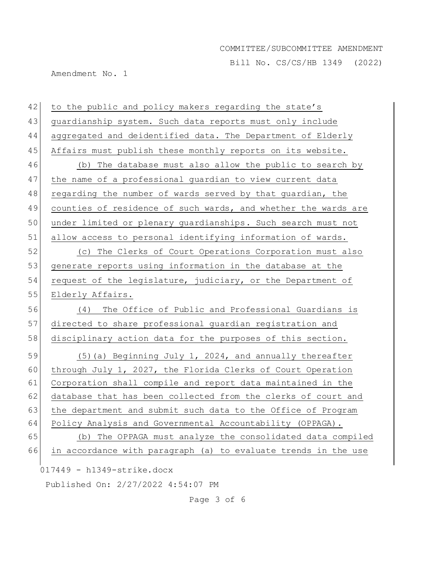Bill No. CS/CS/HB 1349 (2022)

Amendment No. 1

017449 - h1349-strike.docx Published On: 2/27/2022 4:54:07 PM 42 to the public and policy makers regarding the state's 43 guardianship system. Such data reports must only include 44 aggregated and deidentified data. The Department of Elderly 45 Affairs must publish these monthly reports on its website. 46 (b) The database must also allow the public to search by 47 the name of a professional quardian to view current data 48 regarding the number of wards served by that quardian, the 49 counties of residence of such wards, and whether the wards are 50 under limited or plenary guardianships. Such search must not 51 allow access to personal identifying information of wards. 52 (c) The Clerks of Court Operations Corporation must also 53 generate reports using information in the database at the 54 request of the legislature, judiciary, or the Department of 55 Elderly Affairs. 56 (4) The Office of Public and Professional Guardians is 57 directed to share professional guardian registration and 58 disciplinary action data for the purposes of this section. 59  $(5)(a)$  Beginning July 1, 2024, and annually thereafter 60 through July 1, 2027, the Florida Clerks of Court Operation 61 Corporation shall compile and report data maintained in the 62 database that has been collected from the clerks of court and 63 the department and submit such data to the Office of Program 64 Policy Analysis and Governmental Accountability (OPPAGA). 65 (b) The OPPAGA must analyze the consolidated data compiled 66 in accordance with paragraph (a) to evaluate trends in the use

Page 3 of 6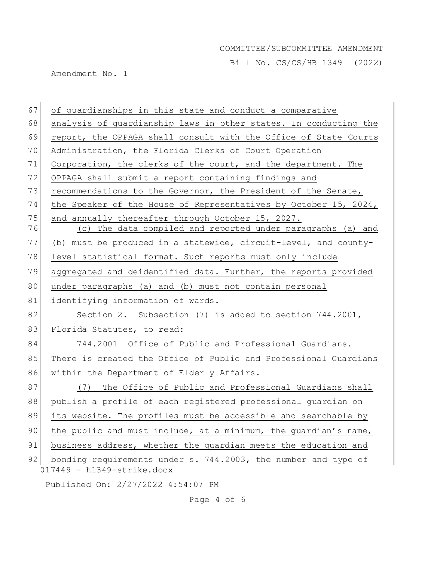Bill No. CS/CS/HB 1349 (2022)

Amendment No. 1

| 67       | of guardianships in this state and conduct a comparative                                                         |
|----------|------------------------------------------------------------------------------------------------------------------|
| 68       | analysis of guardianship laws in other states. In conducting the                                                 |
| 69       | report, the OPPAGA shall consult with the Office of State Courts                                                 |
| 70       | Administration, the Florida Clerks of Court Operation                                                            |
| 71       | Corporation, the clerks of the court, and the department. The                                                    |
| 72       | OPPAGA shall submit a report containing findings and                                                             |
| 73       | recommendations to the Governor, the President of the Senate,                                                    |
| 74       | the Speaker of the House of Representatives by October 15, 2024,                                                 |
| 75<br>76 | and annually thereafter through October 15, 2027.<br>(c) The data compiled and reported under paragraphs (a) and |
| 77       | (b) must be produced in a statewide, circuit-level, and county-                                                  |
| 78       | level statistical format. Such reports must only include                                                         |
| 79       | aggregated and deidentified data. Further, the reports provided                                                  |
| 80       | under paragraphs (a) and (b) must not contain personal                                                           |
| 81       | identifying information of wards.                                                                                |
| 82       | Section 2. Subsection (7) is added to section 744.2001,                                                          |
| 83       | Florida Statutes, to read:                                                                                       |
| 84       | 744.2001 Office of Public and Professional Guardians.-                                                           |
| 85       | There is created the Office of Public and Professional Guardians                                                 |
| 86       | within the Department of Elderly Affairs.                                                                        |
| 87       | The Office of Public and Professional Guardians shall<br>(7)                                                     |
| 88       | publish a profile of each registered professional guardian on                                                    |
| 89       | its website. The profiles must be accessible and searchable by                                                   |
| 90       | the public and must include, at a minimum, the guardian's name,                                                  |
| 91       | business address, whether the guardian meets the education and                                                   |
| 92       | bonding requirements under s. 744.2003, the number and type of                                                   |
|          | $017449 - h1349$ -strike.docx                                                                                    |
|          | Published On: 2/27/2022 4:54:07 PM                                                                               |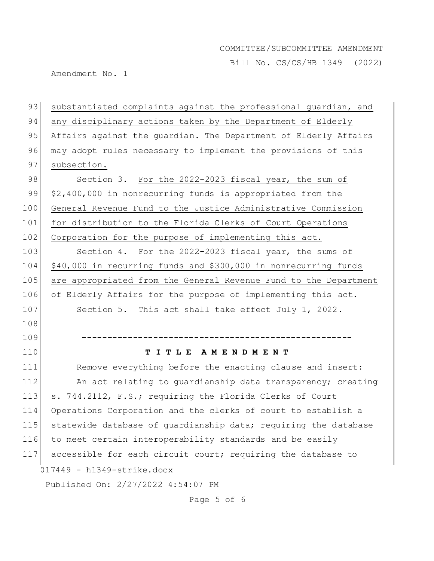Bill No. CS/CS/HB 1349 (2022)

Amendment No. 1

| 93                | substantiated complaints against the professional guardian, and  |
|-------------------|------------------------------------------------------------------|
| 94                | any disciplinary actions taken by the Department of Elderly      |
| 95                | Affairs against the guardian. The Department of Elderly Affairs  |
| 96                | may adopt rules necessary to implement the provisions of this    |
| 97                | subsection.                                                      |
| 98                | Section 3. For the 2022-2023 fiscal year, the sum of             |
| 99                | \$2,400,000 in nonrecurring funds is appropriated from the       |
| 100               | General Revenue Fund to the Justice Administrative Commission    |
| 101               | for distribution to the Florida Clerks of Court Operations       |
| 102               | Corporation for the purpose of implementing this act.            |
| 103               | Section 4. For the 2022-2023 fiscal year, the sums of            |
| 104               | \$40,000 in recurring funds and \$300,000 in nonrecurring funds  |
| 105               | are appropriated from the General Revenue Fund to the Department |
| 106               | of Elderly Affairs for the purpose of implementing this act.     |
| 107               | Section 5. This act shall take effect July 1, 2022.              |
|                   |                                                                  |
| 108               |                                                                  |
|                   |                                                                  |
|                   | TITLE AMENDMENT                                                  |
| 109<br>110<br>111 | Remove everything before the enacting clause and insert:         |
|                   | An act relating to quardianship data transparency; creating      |
|                   | s. 744.2112, F.S.; requiring the Florida Clerks of Court         |
| 114               | Operations Corporation and the clerks of court to establish a    |
| 112<br>113<br>115 | statewide database of guardianship data; requiring the database  |
| 116               | to meet certain interoperability standards and be easily         |
| 117               | accessible for each circuit court; requiring the database to     |
|                   | $017449 - h1349$ -strike.docx                                    |

Page 5 of 6